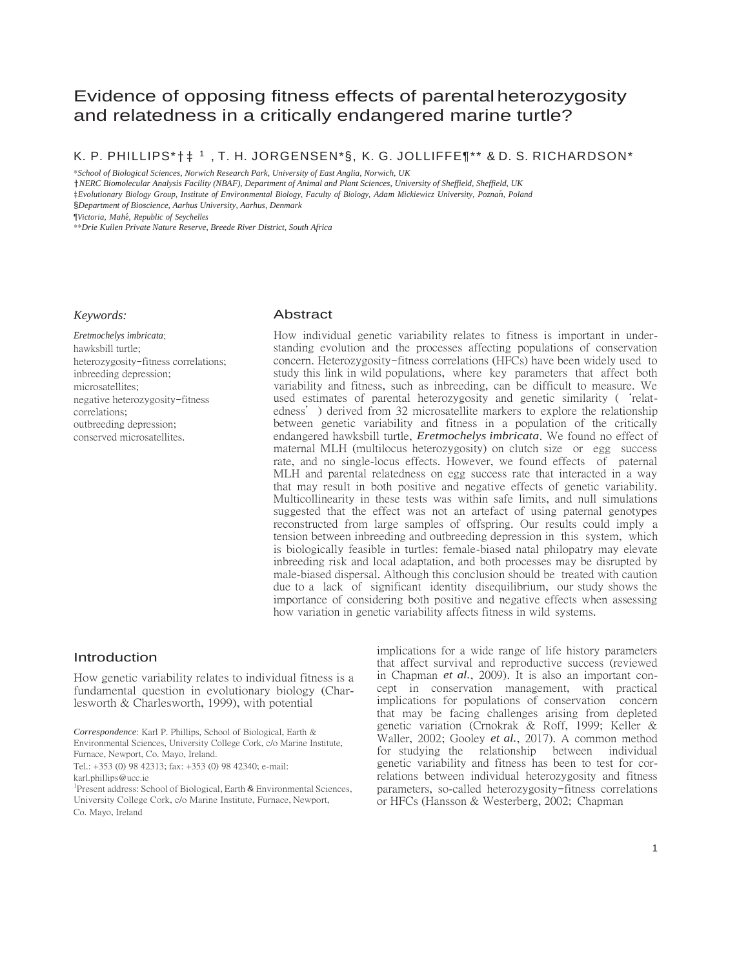# Evidence of opposing fitness effects of parentalheterozygosity and relatedness in a critically endangered marine turtle?

K. P. PHILLIPS\*†‡ 1 , T. H. JORGENSEN\*§, K. G. JOLLIFFE¶\*\* & D. S. RICHARDSON\*

\**School of Biological Sciences, Norwich Research Park, University of East Anglia, Norwich, UK*

†*NERC Biomolecular Analysis Facility (NBAF), Department of Animal and Plant Sciences, University of Sheffield, Sheffield, UK*

‡Evolutionary Biology Group, Institute of Environmental Biology, Faculty of Biology, Adam Mickiewicz University, Poznań, Poland

§*Department of Bioscience, Aarhus University, Aarhus, Denmark*

¶*Victoria, Mah*´*e, Republic of Seychelles*

\*\**Drie Kuilen Private Nature Reserve, Breede River District, South Africa*

#### *Keywords:*

*Eretmochelys imbricata*; hawksbill turtle; heterozygosity–fitness correlations; inbreeding depression; microsatellites; negative heterozygosity–fitness correlations; outbreeding depression; conserved microsatellites.

#### **Abstract**

How individual genetic variability relates to fitness is important in understanding evolution and the processes affecting populations of conservation concern. Heterozygosity–fitness correlations (HFCs) have been widely used to study this link in wild populations, where key parameters that affect both variability and fitness, such as inbreeding, can be difficult to measure. We used estimates of parental heterozygosity and genetic similarity ( 'relatedness') derived from 32 microsatellite markers to explore the relationship between genetic variability and fitness in a population of the critically endangered hawksbill turtle, *Eretmochelys imbricata*. We found no effect of maternal MLH (multilocus heterozygosity) on clutch size or egg success rate, and no single-locus effects. However, we found effects of paternal MLH and parental relatedness on egg success rate that interacted in a way that may result in both positive and negative effects of genetic variability. Multicollinearity in these tests was within safe limits, and null simulations suggested that the effect was not an artefact of using paternal genotypes reconstructed from large samples of offspring. Our results could imply a tension between inbreeding and outbreeding depression in this system, which is biologically feasible in turtles: female-biased natal philopatry may elevate inbreeding risk and local adaptation, and both processes may be disrupted by male-biased dispersal. Although this conclusion should be treated with caution due to a lack of significant identity disequilibrium, our study shows the importance of considering both positive and negative effects when assessing how variation in genetic variability affects fitness in wild systems.

# Introduction

How genetic variability relates to individual fitness is a fundamental question in evolutionary biology (Charlesworth & Charlesworth, 1999), with potential

*Correspondence*: Karl P. Phillips, School of Biological, Earth & Environmental Sciences, University College Cork, c/o Marine Institute,

Furnace, Newport, Co. Mayo, Ireland.

Tel.: +353 (0) 98 42313; fax: +353 (0) 98 42340; e-mail:

[karl.phillips@ucc.ie](mailto:karl.phillips@ucc.ie)

<sup>1</sup>Present address: School of Biological, Earth & Environmental Sciences, University College Cork, c/o Marine Institute, Furnace, Newport, Co. Mayo, Ireland

implications for a wide range of life history parameters that affect survival and reproductive success (reviewed in Chapman *et al.*, 2009). It is also an important concept in conservation management, with practical implications for populations of conservation concern that may be facing challenges arising from depleted genetic variation (Crnokrak & Roff, 1999; Keller & Waller, 2002; Gooley *et al.*, 2017). A common method for studying the relationship between individual genetic variability and fitness has been to test for correlations between individual heterozygosity and fitness parameters, so-called heterozygosity–fitness correlations or HFCs (Hansson & Westerberg, 2002; Chapman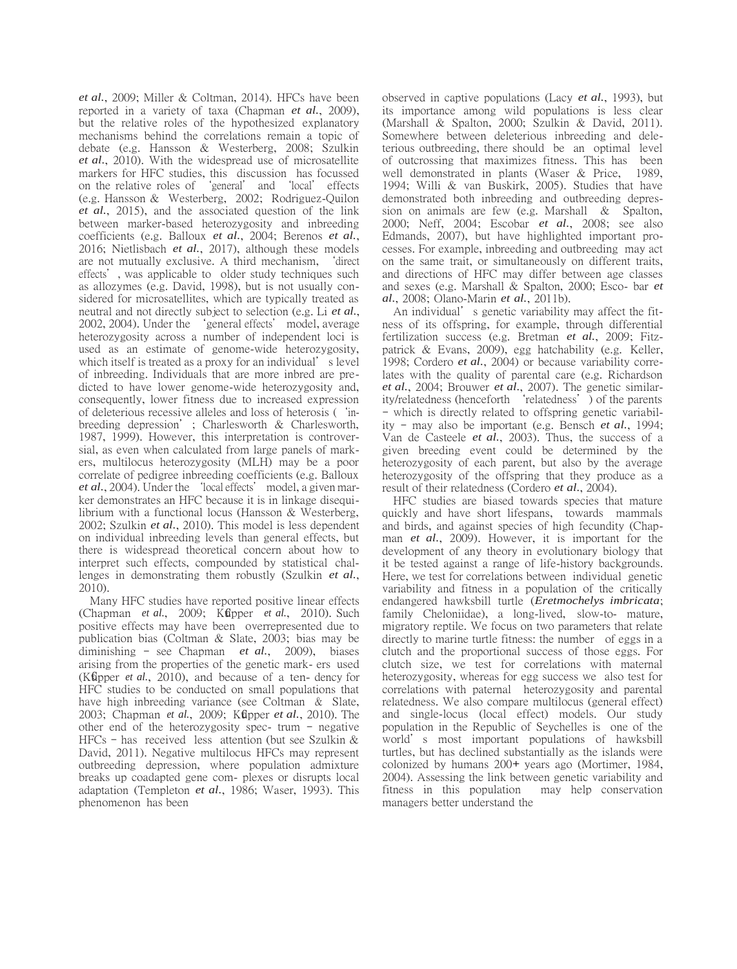*et al.*, 2009; Miller & Coltman, 2014). HFCs have been reported in a variety of taxa (Chapman *et al.*, 2009), but the relative roles of the hypothesized explanatory mechanisms behind the correlations remain a topic of debate (e.g. Hansson & Westerberg, 2008; Szulkin *et al.*, 2010). With the widespread use of microsatellite markers for HFC studies, this discussion has focussed on the relative roles of 'general' and 'local' effects (e.g. Hansson & Westerberg, 2002; Rodriguez-Quilon *et al.*, 2015), and the associated question of the link between marker-based heterozygosity and inbreeding coefficients (e.g. Balloux *et al.*, 2004; Berenos *et al.*, 2016; Nietlisbach *et al.*, 2017), although these models are not mutually exclusive. A third mechanism, 'direct effects', was applicable to older study techniques such as allozymes (e.g. David, 1998), but is not usually considered for microsatellites, which are typically treated as neutral and not directly subject to selection (e.g. Li *et al.*, 2002, 2004). Under the 'general effects' model, average heterozygosity across a number of independent loci is used as an estimate of genome-wide heterozygosity, which itself is treated as a proxy for an individual's level of inbreeding. Individuals that are more inbred are predicted to have lower genome-wide heterozygosity and, consequently, lower fitness due to increased expression of deleterious recessive alleles and loss of heterosis ('inbreeding depression'; Charlesworth & Charlesworth, 1987, 1999). However, this interpretation is controversial, as even when calculated from large panels of markers, multilocus heterozygosity (MLH) may be a poor correlate of pedigree inbreeding coefficients (e.g. Balloux *et al.*, 2004). Under the 'local effects' model, a given marker demonstrates an HFC because it is in linkage disequilibrium with a functional locus (Hansson & Westerberg, 2002; Szulkin *et al.*, 2010). This model is less dependent on individual inbreeding levels than general effects, but there is widespread theoretical concern about how to interpret such effects, compounded by statistical challenges in demonstrating them robustly (Szulkin *et al.*, 2010).

Many HFC studies have reported positive linear effects (Chapman *et al.*, 2009; Ktipper *et al.*, 2010). Such positive effects may have been overrepresented due to publication bias (Coltman & Slate, 2003; bias may be diminishing – see Chapman *et al.*, 2009), biases arising from the properties of the genetic mark- ers used (Kufipper *et al.*, 2010), and because of a ten- dency for HFC studies to be conducted on small populations that have high inbreeding variance (see Coltman & Slate, 2003; Chapman *et al.*, 2009; Ktipper *et al.*, 2010). The other end of the heterozygosity spec- trum – negative HFCs – has received less attention (but see Szulkin & David, 2011). Negative multilocus HFCs may represent outbreeding depression, where population admixture breaks up coadapted gene com- plexes or disrupts local adaptation (Templeton *et al.*, 1986; Waser, 1993). This phenomenon has been

observed in captive populations (Lacy *et al.*, 1993), but its importance among wild populations is less clear (Marshall & Spalton, 2000; Szulkin & David, 2011). Somewhere between deleterious inbreeding and deleterious outbreeding, there should be an optimal level of outcrossing that maximizes fitness. This has been well demonstrated in plants (Waser & Price, 1989, 1994; Willi & van Buskirk, 2005). Studies that have demonstrated both inbreeding and outbreeding depression on animals are few (e.g. Marshall & Spalton, 2000; Neff, 2004; Escobar *et al.*, 2008; see also Edmands, 2007), but have highlighted important processes. For example, inbreeding and outbreeding may act on the same trait, or simultaneously on different traits, and directions of HFC may differ between age classes and sexes (e.g. Marshall & Spalton, 2000; Esco- bar *et al.*, 2008; Olano-Marin *et al.*, 2011b).

An individual' s genetic variability may affect the fitness of its offspring, for example, through differential fertilization success (e.g. Bretman *et al.*, 2009; Fitzpatrick & Evans, 2009), egg hatchability (e.g. Keller, 1998; Cordero *et al.*, 2004) or because variability correlates with the quality of parental care (e.g. Richardson *et al.*, 2004; Brouwer *et al.*, 2007). The genetic similarity/relatedness (henceforth 'relatedness') of the parents – which is directly related to offspring genetic variability – may also be important (e.g. Bensch *et al.*, 1994; Van de Casteele *et al.*, 2003). Thus, the success of a given breeding event could be determined by the heterozygosity of each parent, but also by the average heterozygosity of the offspring that they produce as a result of their relatedness (Cordero *et al.*, 2004).

HFC studies are biased towards species that mature quickly and have short lifespans, towards mammals and birds, and against species of high fecundity (Chapman *et al.*, 2009). However, it is important for the development of any theory in evolutionary biology that it be tested against a range of life-history backgrounds. Here, we test for correlations between individual genetic variability and fitness in a population of the critically endangered hawksbill turtle (*Eretmochelys imbricata*; family Cheloniidae), a long-lived, slow-to- mature, migratory reptile. We focus on two parameters that relate directly to marine turtle fitness: the number of eggs in a clutch and the proportional success of those eggs. For clutch size, we test for correlations with maternal heterozygosity, whereas for egg success we also test for correlations with paternal heterozygosity and parental relatedness. We also compare multilocus (general effect) and single-locus (local effect) models. Our study population in the Republic of Seychelles is one of the world's most important populations of hawksbill turtles, but has declined substantially as the islands were colonized by humans 200+ years ago (Mortimer, 1984, 2004). Assessing the link between genetic variability and fitness in this population may help conservation managers better understand the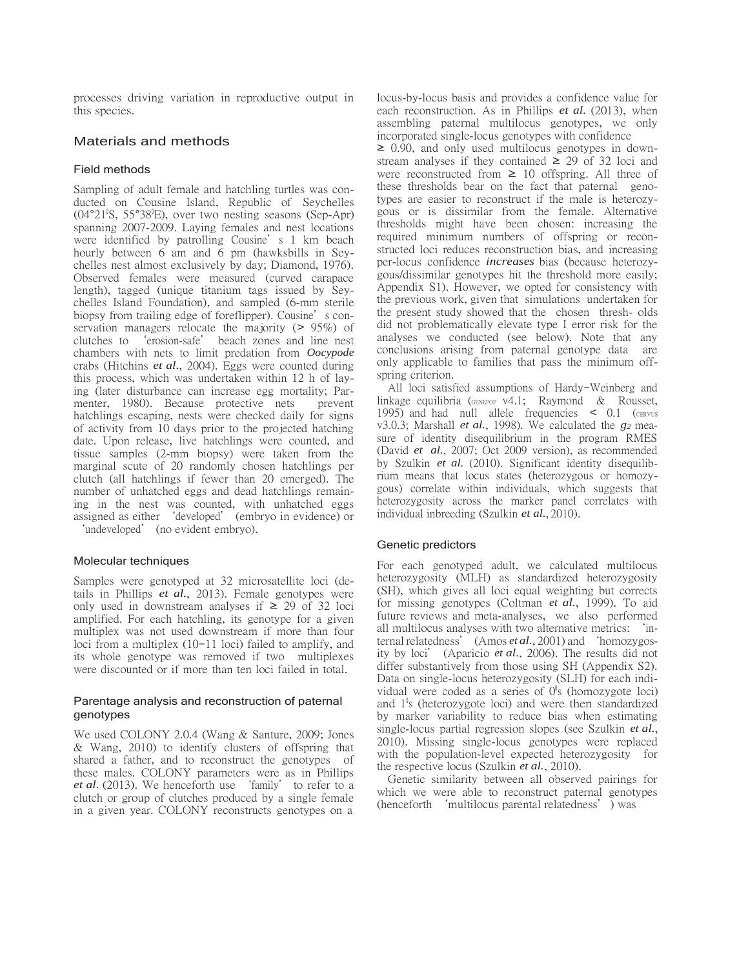processes driving variation in reproductive output in this species.

## Materials and methods

### Field methods

Sampling of adult female and hatchling turtles was conducted on Cousine Island, Republic of Seychelles  $(04°21°S, 55°38°E)$ , over two nesting seasons (Sep-Apr) spanning 2007-2009. Laying females and nest locations were identified by patrolling Cousine's 1 km beach hourly between 6 am and 6 pm (hawksbills in Seychelles nest almost exclusively by day; Diamond, 1976). Observed females were measured (curved carapace length), tagged (unique titanium tags issued by Seychelles Island Foundation), and sampled (6-mm sterile biopsy from trailing edge of foreflipper). Cousine's conservation managers relocate the majority (> 95%) of clutches to 'erosion-safe' beach zones and line nest clutches to 'erosion-safe' beach zones and line nest chambers with nets to limit predation from *Oocypode*  crabs (Hitchins *et al.*, 2004). Eggs were counted during this process, which was undertaken within 12 h of laying (later disturbance can increase egg mortality; Parmenter, 1980). Because protective nets prevent hatchlings escaping, nests were checked daily for signs of activity from 10 days prior to the projected hatching date. Upon release, live hatchlings were counted, and tissue samples (2-mm biopsy) were taken from the marginal scute of 20 randomly chosen hatchlings per clutch (all hatchlings if fewer than 20 emerged). The number of unhatched eggs and dead hatchlings remaining in the nest was counted, with unhatched eggs assigned as either 'developed' (embryo in evidence) or 'undeveloped' (no evident embryo).

#### Molecular techniques

Samples were genotyped at 32 microsatellite loci (details in Phillips *et al.*, 2013). Female genotypes were only used in downstream analyses if  $\geq$  29 of 32 loci amplified. For each hatchling, its genotype for a given multiplex was not used downstream if more than four loci from a multiplex (10–11 loci) failed to amplify, and its whole genotype was removed if two multiplexes were discounted or if more than ten loci failed in total.

### Parentage analysis and reconstruction of paternal genotypes

We used COLONY 2.0.4 (Wang & Santure, 2009; Jones & Wang, 2010) to identify clusters of offspring that shared a father, and to reconstruct the genotypes of these males. COLONY parameters were as in Phillips *et al.* (2013). We henceforth use 'family' to refer to a clutch or group of clutches produced by a single female in a given year. COLONY reconstructs genotypes on a

locus-by-locus basis and provides a confidence value for each reconstruction. As in Phillips *et al.* (2013), when assembling paternal multilocus genotypes, we only incorporated single-locus genotypes with confidence

≥ 0.90, and only used multilocus genotypes in downstream analyses if they contained  $\geq$  29 of 32 loci and were reconstructed from  $\geq 10$  offspring. All three of these thresholds bear on the fact that paternal genotypes are easier to reconstruct if the male is heterozygous or is dissimilar from the female. Alternative thresholds might have been chosen: increasing the required minimum numbers of offspring or reconstructed loci reduces reconstruction bias, and increasing per-locus confidence *increases* bias (because heterozygous/dissimilar genotypes hit the threshold more easily; Appendix S1). However, we opted for consistency with the previous work, given that simulations undertaken for the present study showed that the chosen thresh- olds did not problematically elevate type I error risk for the analyses we conducted (see below). Note that any conclusions arising from paternal genotype data are only applicable to families that pass the minimum offspring criterion.

All loci satisfied assumptions of Hardy–Weinberg and linkage equilibria (GENEPOP v4.1; Raymond & Rousset, 1995) and had null allele frequencies  $\lt$  0.1 (CERVUS v3.0.3; Marshall *et al.*, 1998). We calculated the *g<sup>2</sup>* measure of identity disequilibrium in the program RMES (David *et al.*, 2007; Oct 2009 version), as recommended by Szulkin *et al.* (2010). Significant identity disequilibrium means that locus states (heterozygous or homozygous) correlate within individuals, which suggests that heterozygosity across the marker panel correlates with individual inbreeding (Szulkin *et al.*, 2010).

#### Genetic predictors

For each genotyped adult, we calculated multilocus heterozygosity (MLH) as standardized heterozygosity (SH), which gives all loci equal weighting but corrects for missing genotypes (Coltman *et al.*, 1999). To aid future reviews and meta-analyses, we also performed all multilocus analyses with two alternative metrics: 'internal relatedness' (Amos *et al.*, 2001) and 'homozygosity by loci' (Aparicio *et al.*, 2006). The results did not differ substantively from those using SH (Appendix S2). Data on single-locus heterozygosity (SLH) for each individual were coded as a series of  $0<sup>0</sup>$ s (homozygote loci) and 1<sup>0</sup>s (heterozygote loci) and were then standardized by marker variability to reduce bias when estimating single-locus partial regression slopes (see Szulkin *et al.*, 2010). Missing single-locus genotypes were replaced with the population-level expected heterozygosity for the respective locus (Szulkin *et al.*, 2010).

Genetic similarity between all observed pairings for which we were able to reconstruct paternal genotypes (henceforth 'multilocus parental relatedness') was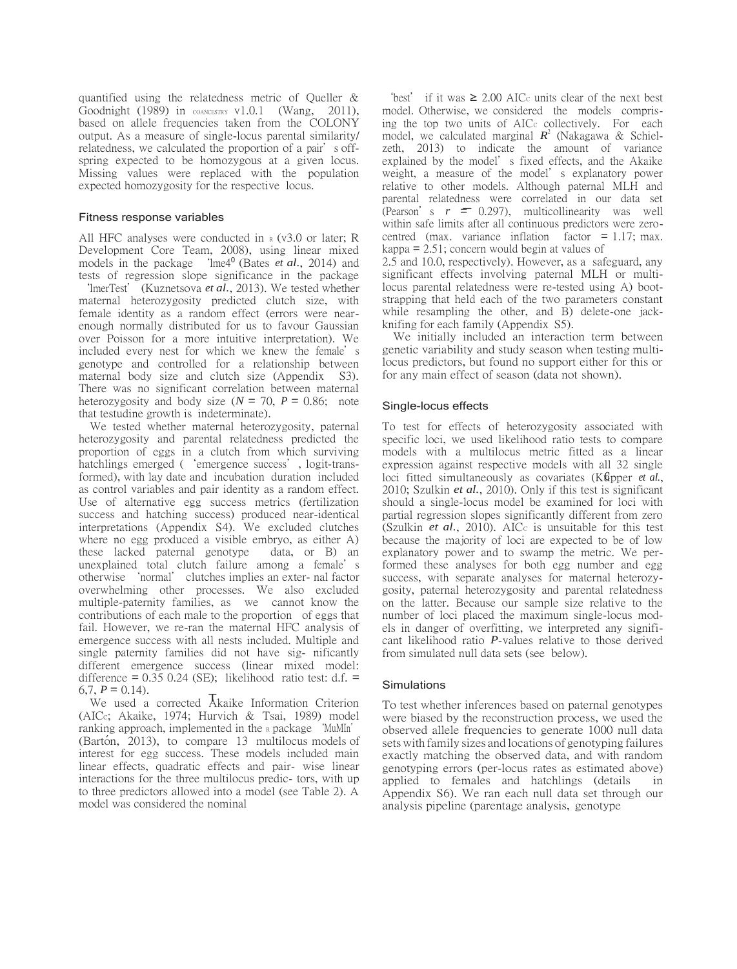quantified using the relatedness metric of Queller & Goodnight (1989) in COANCESTRY v1.0.1 (Wang, 2011), based on allele frequencies taken from the COLONY output. As a measure of single-locus parental similarity/ relatedness, we calculated the proportion of a pair's offspring expected to be homozygous at a given locus. Missing values were replaced with the population expected homozygosity for the respective locus.

## Fitness response variables

All HFC analyses were conducted in  $\kappa$  (v3.0 or later; R Development Core Team, 2008), using linear mixed models in the package 'lme4<sup>0</sup> (Bates *et al.*, 2014) and tests of regression slope significance in the package 'lmerTest' (Kuznetsova *et al.*, 2013). We tested whether maternal heterozygosity predicted clutch size, with female identity as a random effect (errors were nearenough normally distributed for us to favour Gaussian over Poisson for a more intuitive interpretation). We included every nest for which we knew the female's genotype and controlled for a relationship between maternal body size and clutch size (Appendix S3). There was no significant correlation between maternal heterozygosity and body size  $(N = 70, P = 0.86;$  note that testudine growth is indeterminate).

We tested whether maternal heterozygosity, paternal heterozygosity and parental relatedness predicted the proportion of eggs in a clutch from which surviving hatchlings emerged ('emergence success', logit-transformed), with lay date and incubation duration included as control variables and pair identity as a random effect. Use of alternative egg success metrics (fertilization success and hatching success) produced near-identical interpretations (Appendix S4). We excluded clutches where no egg produced a visible embryo, as either A) these lacked paternal genotype data, or B) an unexplained total clutch failure among a female's otherwise 'normal' clutches implies an exter- nal factor overwhelming other processes. We also excluded multiple-paternity families, as we cannot know the contributions of each male to the proportion of eggs that fail. However, we re-ran the maternal HFC analysis of emergence success with all nests included. Multiple and single paternity families did not have sig- nificantly different emergence success (linear mixed model: difference =  $0.35$  0.24 (SE); likelihood ratio test: d.f. = 6,7,  $P = 0.14$ ).

 $U, V = 0.14$ .<br>We used a corrected  $\overline{\text{A}}$ kaike Information Criterion (AICC; Akaike, 1974; Hurvich & Tsai, 1989) model ranking approach, implemented in the  $R$  package 'MuMIn'  $(Bartón, 2013)$ , to compare 13 multilocus models of interest for egg success. These models included main linear effects, quadratic effects and pair- wise linear interactions for the three multilocus predic- tors, with up to three predictors allowed into a model (see Table 2). A model was considered the nominal

(Pearson's  $r = 0.297$ ), multicollinearity was well 'best' if it was  $\geq 2.00$  AICc units clear of the next best model. Otherwise, we considered the models comprising the top two units of AICc collectively. For each model, we calculated marginal *R* 2 (Nakagawa & Schielzeth, 2013) to indicate the amount of variance explained by the model's fixed effects, and the Akaike weight, a measure of the model's explanatory power relative to other models. Although paternal MLH and parental relatedness were correlated in our data set within safe limits after all continuous predictors were zerocentred (max. variance inflation factor  $= 1.17$ ; max. kappa = 2.51; concern would begin at values of

2.5 and 10.0, respectively). However, as a safeguard, any significant effects involving paternal MLH or multilocus parental relatedness were re-tested using A) bootstrapping that held each of the two parameters constant while resampling the other, and B) delete-one jackknifing for each family (Appendix S5).

We initially included an interaction term between genetic variability and study season when testing multilocus predictors, but found no support either for this or for any main effect of season (data not shown).

#### Single-locus effects

To test for effects of heterozygosity associated with specific loci, we used likelihood ratio tests to compare models with a multilocus metric fitted as a linear expression against respective models with all 32 single loci fitted simultaneously as covariates (Kufpper *et al.*, 2010; Szulkin *et al.*, 2010). Only if this test is significant should a single-locus model be examined for loci with partial regression slopes significantly different from zero (Szulkin *et al.*, 2010). AICc is unsuitable for this test because the majority of loci are expected to be of low explanatory power and to swamp the metric. We performed these analyses for both egg number and egg success, with separate analyses for maternal heterozygosity, paternal heterozygosity and parental relatedness on the latter. Because our sample size relative to the number of loci placed the maximum single-locus models in danger of overfitting, we interpreted any significant likelihood ratio *P*-values relative to those derived from simulated null data sets (see below).

#### **Simulations**

To test whether inferences based on paternal genotypes were biased by the reconstruction process, we used the observed allele frequencies to generate 1000 null data setswith family sizes and locations of genotyping failures exactly matching the observed data, and with random genotyping errors (per-locus rates as estimated above) applied to females and hatchlings (details in Appendix S6). We ran each null data set through our analysis pipeline (parentage analysis, genotype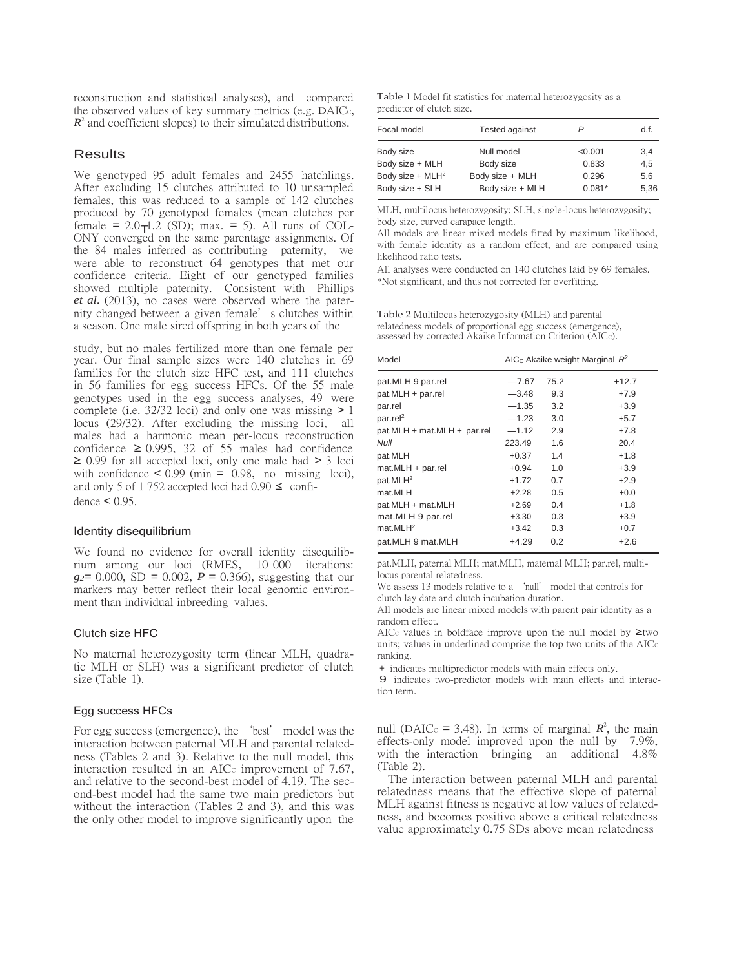reconstruction and statistical analyses), and compared the observed values of key summary metrics (e.g. DAICc,  $R<sup>2</sup>$  and coefficient slopes) to their simulated distributions.

## **Results**

female =  $2.0$  $\text{d}$  $\cdot$  $1.2$  (SD); max. = 5). All runs of COL-We genotyped 95 adult females and 2455 hatchlings. After excluding 15 clutches attributed to 10 unsampled females, this was reduced to a sample of 142 clutches produced by 70 genotyped females (mean clutches per ONY converged on the same parentage assignments. Of the 84 males inferred as contributing paternity, we were able to reconstruct 64 genotypes that met our confidence criteria. Eight of our genotyped families showed multiple paternity. Consistent with Phillips et al. (2013), no cases were observed where the paternity changed between a given female's clutches within a season. One male sired offspring in both years of the

study, but no males fertilized more than one female per year. Our final sample sizes were 140 clutches in 69 families for the clutch size HFC test, and 111 clutches in 56 families for egg success HFCs. Of the 55 male genotypes used in the egg success analyses, 49 were complete (i.e.  $32/32$  loci) and only one was missing  $> 1$ locus (29/32). After excluding the missing loci, all males had a harmonic mean per-locus reconstruction confidence  $\geq$  0.995, 32 of 55 males had confidence  $\geq$  0.99 for all accepted loci, only one male had  $>$  3 loci with confidence  $\lt$  0.99 (min = 0.98, no missing loci), and only 5 of 1 752 accepted loci had  $0.90 \leq \text{confi}$ dence  $< 0.95$ .

#### Identity disequilibrium

We found no evidence for overall identity disequilibrium among our loci (RMES, 10 000 iterations:  $g_2 = 0.000$ , SD = 0.002,  $P = 0.366$ ), suggesting that our markers may better reflect their local genomic environment than individual inbreeding values.

#### Clutch size HFC

No maternal heterozygosity term (linear MLH, quadratic MLH or SLH) was a significant predictor of clutch size (Table 1).

#### Egg success HFCs

For egg success (emergence), the 'best' model was the interaction between paternal MLH and parental relatedness (Tables 2 and 3). Relative to the null model, this interaction resulted in an AIC $c$  improvement of 7.67, and relative to the second-best model of 4.19. The second-best model had the same two main predictors but without the interaction (Tables 2 and 3), and this was the only other model to improve significantly upon the

Table 1 Model fit statistics for maternal heterozygosity as a predictor of clutch size.

| Focal model                  | Tested against  | P        | d.f. |  |
|------------------------------|-----------------|----------|------|--|
| Body size                    | Null model      | < 0.001  | 3.4  |  |
| Body size + MLH              | Body size       | 0.833    | 4,5  |  |
| Body size + MLH <sup>2</sup> | Body size + MLH | 0.296    | 5.6  |  |
| Body size + SLH              | Body size + MLH | $0.081*$ | 5.36 |  |
|                              |                 |          |      |  |

MLH, multilocus heterozygosity; SLH, single-locus heterozygosity; body size, curved carapace length.

All models are linear mixed models fitted by maximum likelihood, with female identity as a random effect, and are compared using likelihood ratio tests.

All analyses were conducted on 140 clutches laid by 69 females. \*Not significant, and thus not corrected for overfitting.

Table 2 Multilocus heterozygosity (MLH) and parental relatedness models of proportional egg success (emergence), assessed by corrected Akaike Information Criterion (AICc).

| Model                       | AIC <sub>c</sub> Akaike weight Marginal $R^2$ |      |         |  |
|-----------------------------|-----------------------------------------------|------|---------|--|
| pat.MLH 9 par.rel           | $-7.67$                                       | 75.2 | $+12.7$ |  |
| pat.MLH + par.rel           | $-3.48$                                       | 9.3  | $+7.9$  |  |
| par.rel                     | $-1.35$                                       | 3.2  | $+3.9$  |  |
| par.rel <sup>2</sup>        | $-1.23$                                       | 3.0  | $+5.7$  |  |
| pat.MLH + mat.MLH + par.rel | $-1.12$                                       | 2.9  | $+7.8$  |  |
| Null                        | 223.49                                        | 1.6  | 20.4    |  |
| pat.MLH                     | +0.37                                         | 1.4  | $+1.8$  |  |
| $mat.MLH + par.rel$         | $+0.94$                                       | 1.0  | $+3.9$  |  |
| pat.MLH <sup>2</sup>        | $+1.72$                                       | 0.7  | $+2.9$  |  |
| mat.MLH                     | $+2.28$                                       | 0.5  | $+0.0$  |  |
| pat.MLH + mat.MLH           | $+2.69$                                       | 0.4  | $+1.8$  |  |
| mat.MLH 9 par.rel           | $+3.30$                                       | 0.3  | $+3.9$  |  |
| mat.MLH <sup>2</sup>        | $+3.42$                                       | 0.3  | $+0.7$  |  |
| pat.MLH 9 mat.MLH           | $+4.29$                                       | 0.2  | $+2.6$  |  |

pat.MLH, paternal MLH; mat.MLH, maternal MLH; par.rel, multilocus parental relatedness.

We assess 13 models relative to a 'null' model that controls for clutch lay date and clutch incubation duration.

All models are linear mixed models with parent pair identity as a random effect.

AIC $c$  values in boldface improve upon the null model by  $\geq$ two units; values in underlined comprise the top two units of the  $AICc$ ranking.

'+' indicates multipredictor models with main effects only.

'9' indicates two-predictor models with main effects and interaction term.

null (DAIC $c = 3.48$ ). In terms of marginal  $\mathbb{R}^2$ , the main effects-only model improved upon the null by 7.9%, with the interaction bringing an additional 4.8% (Table 2).

The interaction between paternal MLH and parental relatedness means that the effective slope of paternal MLH against fitness is negative at low values of relatedness, and becomes positive above a critical relatedness value approximately 0.75 SDs above mean relatedness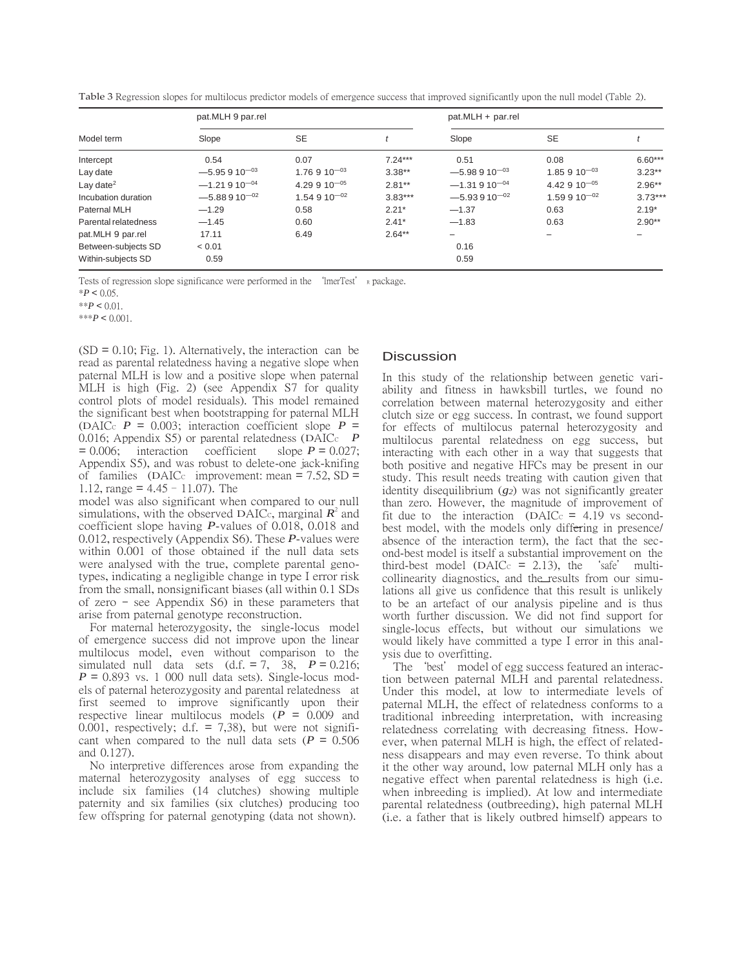| Model term            | pat.MLH 9 par.rel |                   |           | pat.MLH + par.rel |                          |           |  |
|-----------------------|-------------------|-------------------|-----------|-------------------|--------------------------|-----------|--|
|                       | Slope             | SE                |           | Slope             | <b>SE</b>                |           |  |
| Intercept             | 0.54              | 0.07              | $7.24***$ | 0.51              | 0.08                     | $6.60***$ |  |
| Lay date              | $-5.95910^{-03}$  | $1.76910^{-03}$   | $3.38**$  | $-5.98910^{-03}$  | $1.85910^{-03}$          | $3.23**$  |  |
| Lay date <sup>2</sup> | $-1.21910^{-04}$  | 4.29 9 $10^{-05}$ | $2.81**$  | $-1.31910^{-04}$  | 4.42 9 $10^{-05}$        | $2.96***$ |  |
| Incubation duration   | $-5.88910^{-02}$  | $1.54910^{-02}$   | $3.83***$ | $-5.93910^{-02}$  | $1.59910^{-02}$          | $3.73***$ |  |
| Paternal MLH          | $-1.29$           | 0.58              | $2.21*$   | $-1.37$           | 0.63                     | $2.19*$   |  |
| Parental relatedness  | $-1.45$           | 0.60              | $2.41*$   | $-1.83$           | 0.63                     | $2.90**$  |  |
| pat.MLH 9 par.rel     | 17.11             | 6.49              | $2.64***$ | -                 | $\overline{\phantom{0}}$ |           |  |
| Between-subjects SD   | < 0.01            |                   |           | 0.16              |                          |           |  |
| Within-subjects SD    | 0.59              |                   |           | 0.59              |                          |           |  |

Table 3 Regression slopes for multilocus predictor models of emergence success that improved significantly upon the null model (Table 2).

Tests of regression slope significance were performed in the  $\cdot$  'lmerTest' R package.

 $*P < 0.05$ .

 $*$ *\*P* < 0.01.

 $***P < 0.001$ .

 $(SD = 0.10; Fig. 1)$ . Alternatively, the interaction can be read as parental relatedness having a negative slope when paternal MLH is low and a positive slope when paternal MLH is high (Fig. 2) (see Appendix S7 for quality control plots of model residuals). This model remained the significant best when bootstrapping for paternal MLH (DAIC<sub>c</sub>  $P = 0.003$ ; interaction coefficient slope  $P =$ 0.016; Appendix S5) or parental relatedness (DAICc *P*  $= 0.006$ ; interaction coefficient slope  $P = 0.027$ ; Appendix S5), and was robust to delete-one jack-knifing of families (DAIC<sub>c</sub> improvement: mean =  $7.52$ , SD = 1.12, range =  $4.45 - 11.07$ ). The

model was also significant when compared to our null simulations, with the observed DAIC<sub>c</sub>, marginal  $R^2$  and coefficient slope having *P*-values of 0.018, 0.018 and 0.012, respectively (Appendix S6). These *P*-values were within 0.001 of those obtained if the null data sets were analysed with the true, complete parental genotypes, indicating a negligible change in type I error risk from the small, nonsignificant biases (all within 0.1 SDs of zero – see Appendix S6) in these parameters that arise from paternal genotype reconstruction.

For maternal heterozygosity, the single-locus model of emergence success did not improve upon the linear multilocus model, even without comparison to the simulated null data sets  $(d.f. = 7, 38, P = 0.216;$  $P = 0.893$  vs. 1 000 null data sets). Single-locus models of paternal heterozygosity and parental relatedness at first seemed to improve significantly upon their respective linear multilocus models (*P* = 0.009 and 0.001, respectively; d.f.  $= 7,38$ ), but were not significant when compared to the null data sets  $(P = 0.506)$ and 0.127).

No interpretive differences arose from expanding the maternal heterozygosity analyses of egg success to include six families (14 clutches) showing multiple paternity and six families (six clutches) producing too few offspring for paternal genotyping (data not shown).

## **Discussion**

best model, with the models only differing in presence/ — collinearity diagnostics, and the results from our simu-In this study of the relationship between genetic variability and fitness in hawksbill turtles, we found no correlation between maternal heterozygosity and either clutch size or egg success. In contrast, we found support for effects of multilocus paternal heterozygosity and multilocus parental relatedness on egg success, but interacting with each other in a way that suggests that both positive and negative HFCs may be present in our study. This result needs treating with caution given that identity disequilibrium (*g2*) was not significantly greater than zero. However, the magnitude of improvement of fit due to the interaction (DAIC $c = 4.19$  vs secondabsence of the interaction term), the fact that the second-best model is itself a substantial improvement on the third-best model (DAIC $c = 2.13$ ), the 'safe' multilations all give us confidence that this result is unlikely to be an artefact of our analysis pipeline and is thus worth further discussion. We did not find support for single-locus effects, but without our simulations we would likely have committed a type I error in this analysis due to overfitting.

The 'best' model of egg success featured an interaction between paternal MLH and parental relatedness. Under this model, at low to intermediate levels of paternal MLH, the effect of relatedness conforms to a traditional inbreeding interpretation, with increasing relatedness correlating with decreasing fitness. However, when paternal MLH is high, the effect of relatedness disappears and may even reverse. To think about it the other way around, low paternal MLH only has a negative effect when parental relatedness is high (i.e. when inbreeding is implied). At low and intermediate parental relatedness (outbreeding), high paternal MLH (i.e. a father that is likely outbred himself) appears to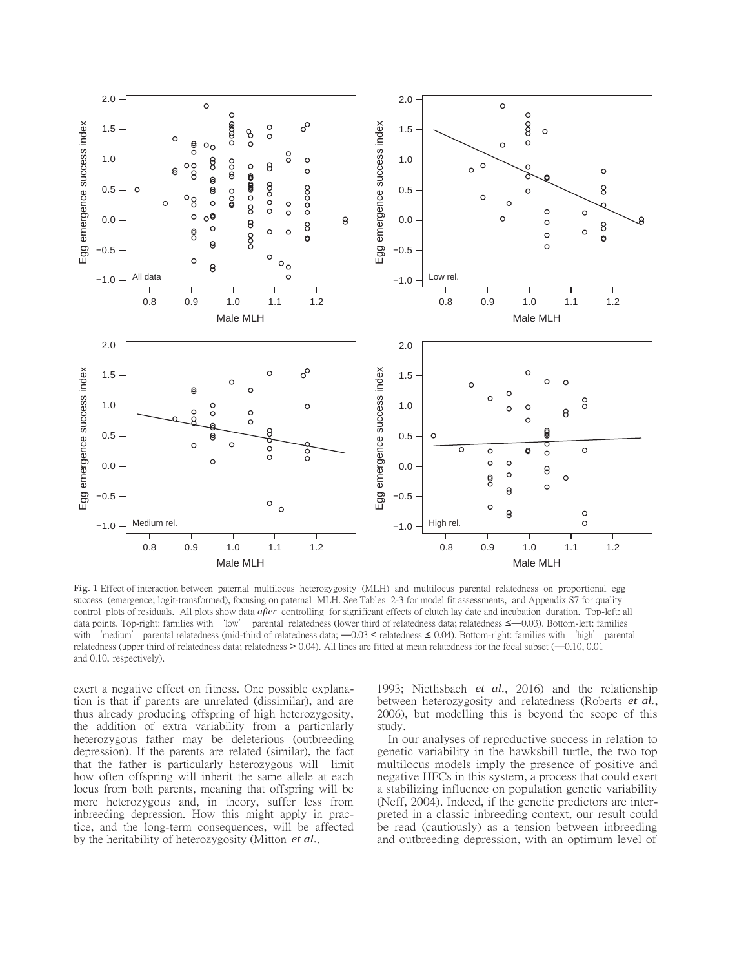

Fig. 1 Effect of interaction between paternal multilocus heterozygosity (MLH) and multilocus parental relatedness on proportional egg success (emergence; logit-transformed), focusing on paternal MLH. See Tables 2-3 for model fit assessments, and Appendix S7 for quality control plots of residuals. All plots show data *after* controlling for significant effects of clutch lay date and incubation duration. Top-left: all data points. Top-right: families with 'low' parental relatedness (lower third of relatedness data; relatedness ≤—0.03). Bottom-left: families with 'medium' parental relatedness (mid-third of relatedness data;  $-0.03 <$  relatedness  $\leq 0.04$ ). Bottom-right: families with 'high' parental relatedness (upper third of relatedness data; relatedness > 0.04). All lines are fitted at mean relatedness for the focal subset (—0.10, 0.01 and 0.10, respectively).

exert a negative effect on fitness. One possible explanation is that if parents are unrelated (dissimilar), and are thus already producing offspring of high heterozygosity, the addition of extra variability from a particularly heterozygous father may be deleterious (outbreeding depression). If the parents are related (similar), the fact that the father is particularly heterozygous will limit how often offspring will inherit the same allele at each locus from both parents, meaning that offspring will be more heterozygous and, in theory, suffer less from inbreeding depression. How this might apply in practice, and the long-term consequences, will be affected by the heritability of heterozygosity (Mitton *et al.*,

1993; Nietlisbach *et al.*, 2016) and the relationship between heterozygosity and relatedness (Roberts *et al.*, 2006), but modelling this is beyond the scope of this study.

In our analyses of reproductive success in relation to genetic variability in the hawksbill turtle, the two top multilocus models imply the presence of positive and negative HFCs in this system, a process that could exert a stabilizing influence on population genetic variability (Neff, 2004). Indeed, if the genetic predictors are interpreted in a classic inbreeding context, our result could be read (cautiously) as a tension between inbreeding and outbreeding depression, with an optimum level of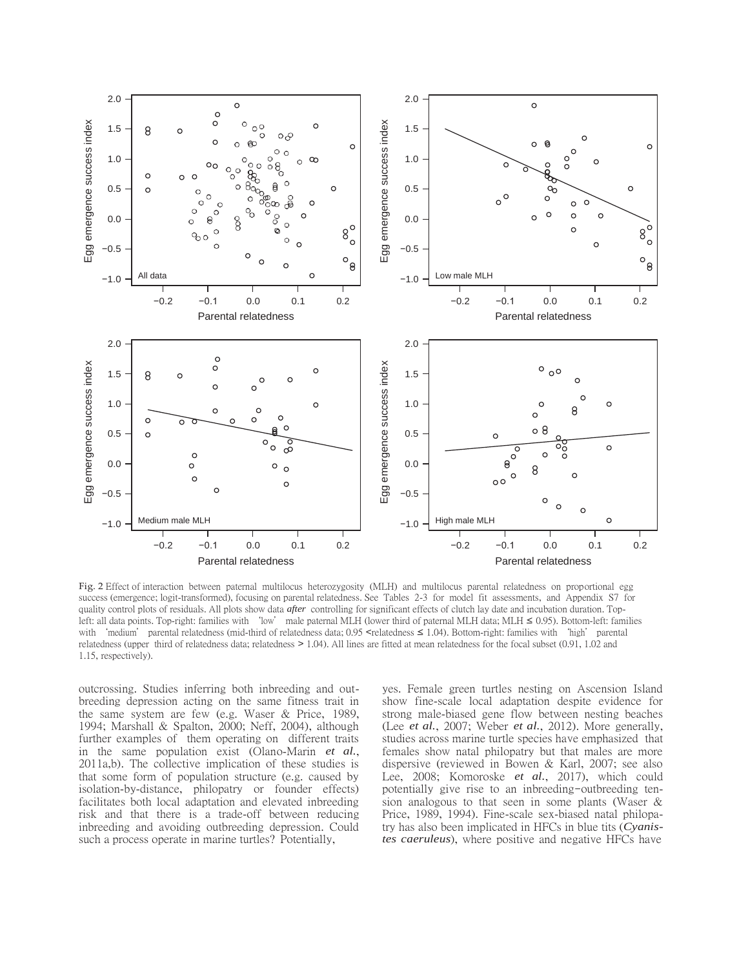

Fig. 2 Effect of interaction between paternal multilocus heterozygosity (MLH) and multilocus parental relatedness on proportional egg success (emergence; logit-transformed), focusing on parental relatedness. See Tables 2-3 for model fit assessments, and Appendix S7 for quality control plots of residuals. All plots show data *after* controlling for significant effects of clutch lay date and incubation duration. Topleft: all data points. Top-right: families with 'low' male paternal MLH (lower third of paternal MLH data; MLH ≤ 0.95). Bottom-left: families with 'medium' parental relatedness (mid-third of relatedness data; 0.95 <relatedness ≤ 1.04). Bottom-right: families with 'high' parental relatedness (upper third of relatedness data; relatedness > 1.04). All lines are fitted at mean relatedness for the focal subset (0.91, 1.02 and 1.15, respectively).

outcrossing. Studies inferring both inbreeding and outbreeding depression acting on the same fitness trait in the same system are few (e.g. Waser & Price, 1989, 1994; Marshall & Spalton, 2000; Neff, 2004), although further examples of them operating on different traits in the same population exist (Olano-Marin *et al.*, 2011a,b). The collective implication of these studies is that some form of population structure (e.g. caused by isolation-by-distance, philopatry or founder effects) facilitates both local adaptation and elevated inbreeding risk and that there is a trade-off between reducing inbreeding and avoiding outbreeding depression. Could such a process operate in marine turtles? Potentially,

yes. Female green turtles nesting on Ascension Island show fine-scale local adaptation despite evidence for strong male-biased gene flow between nesting beaches (Lee *et al.*, 2007; Weber *et al.*, 2012). More generally, studies across marine turtle species have emphasized that females show natal philopatry but that males are more dispersive (reviewed in Bowen & Karl, 2007; see also Lee, 2008; Komoroske *et al.*, 2017), which could potentially give rise to an inbreeding–outbreeding tension analogous to that seen in some plants (Waser & Price, 1989, 1994). Fine-scale sex-biased natal philopatry has also been implicated in HFCs in blue tits (*Cyanistes caeruleus*), where positive and negative HFCs have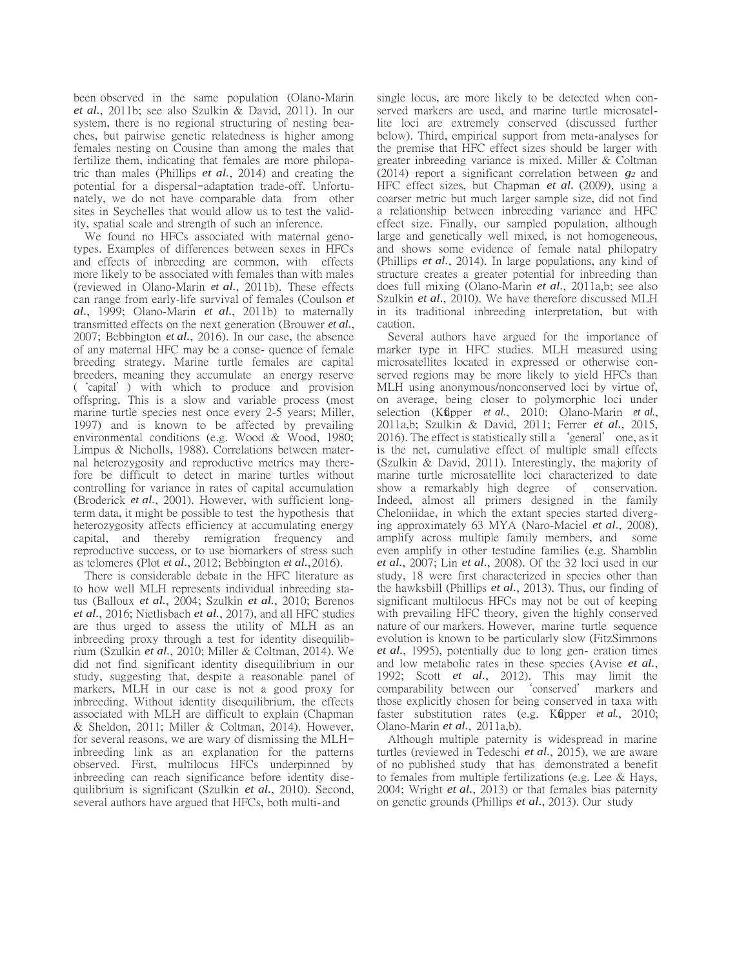been observed in the same population (Olano-Marin *et al.*, 2011b; see also Szulkin & David, 2011). In our system, there is no regional structuring of nesting beaches, but pairwise genetic relatedness is higher among females nesting on Cousine than among the males that fertilize them, indicating that females are more philopatric than males (Phillips *et al.*, 2014) and creating the potential for a dispersal–adaptation trade-off. Unfortunately, we do not have comparable data from other sites in Seychelles that would allow us to test the validity, spatial scale and strength of such an inference.

We found no HFCs associated with maternal genotypes. Examples of differences between sexes in HFCs and effects of inbreeding are common, with effects more likely to be associated with females than with males (reviewed in Olano-Marin *et al.*, 2011b). These effects can range from early-life survival of females (Coulson *et al.*, 1999; Olano-Marin *et al.*, 2011b) to maternally transmitted effects on the next generation (Brouwer *et al.*, 2007; Bebbington *et al.*, 2016). In our case, the absence of any maternal HFC may be a conse- quence of female breeding strategy. Marine turtle females are capital breeders, meaning they accumulate an energy reserve ('capital') with which to produce and provision offspring. This is a slow and variable process (most marine turtle species nest once every 2-5 years; Miller, 1997) and is known to be affected by prevailing environmental conditions (e.g. Wood & Wood, 1980; Limpus & Nicholls, 1988). Correlations between maternal heterozygosity and reproductive metrics may therefore be difficult to detect in marine turtles without controlling for variance in rates of capital accumulation (Broderick *et al.*, 2001). However, with sufficient longterm data, it might be possible to test the hypothesis that heterozygosity affects efficiency at accumulating energy capital, and thereby remigration frequency and reproductive success, or to use biomarkers of stress such as telomeres (Plot *et al.*, 2012; Bebbington *et al.*,2016).

There is considerable debate in the HFC literature as to how well MLH represents individual inbreeding status (Balloux *et al.*, 2004; Szulkin *et al.*, 2010; Berenos *et al.*, 2016; Nietlisbach *et al.*, 2017), and all HFC studies are thus urged to assess the utility of MLH as an inbreeding proxy through a test for identity disequilibrium (Szulkin *et al.*, 2010; Miller & Coltman, 2014). We did not find significant identity disequilibrium in our study, suggesting that, despite a reasonable panel of markers, MLH in our case is not a good proxy for inbreeding. Without identity disequilibrium, the effects associated with MLH are difficult to explain (Chapman & Sheldon, 2011; Miller & Coltman, 2014). However, for several reasons, we are wary of dismissing the MLH– inbreeding link as an explanation for the patterns observed. First, multilocus HFCs underpinned by inbreeding can reach significance before identity disequilibrium is significant (Szulkin *et al.*, 2010). Second, several authors have argued that HFCs, both multi- and

single locus, are more likely to be detected when conserved markers are used, and marine turtle microsatellite loci are extremely conserved (discussed further below). Third, empirical support from meta-analyses for the premise that HFC effect sizes should be larger with greater inbreeding variance is mixed. Miller & Coltman (2014) report a significant correlation between *g<sup>2</sup>* and HFC effect sizes, but Chapman *et al.* (2009), using a coarser metric but much larger sample size, did not find a relationship between inbreeding variance and HFC effect size. Finally, our sampled population, although large and genetically well mixed, is not homogeneous, and shows some evidence of female natal philopatry (Phillips *et al.*, 2014). In large populations, any kind of structure creates a greater potential for inbreeding than does full mixing (Olano-Marin *et al.*, 2011a,b; see also Szulkin *et al.*, 2010). We have therefore discussed MLH in its traditional inbreeding interpretation, but with caution.

Several authors have argued for the importance of marker type in HFC studies. MLH measured using microsatellites located in expressed or otherwise conserved regions may be more likely to yield HFCs than MLH using anonymous/nonconserved loci by virtue of, on average, being closer to polymorphic loci under selection (Ktipper *et al.*, 2010; Olano-Marin *et al.*, 2011a,b; Szulkin & David, 2011; Ferrer *et al.*, 2015, 2016). The effect is statistically still a 'general' one, as it is the net, cumulative effect of multiple small effects (Szulkin & David, 2011). Interestingly, the majority of marine turtle microsatellite loci characterized to date show a remarkably high degree of conservation. Indeed, almost all primers designed in the family Cheloniidae, in which the extant species started diverging approximately 63 MYA (Naro-Maciel *et al.*, 2008), amplify across multiple family members, and some even amplify in other testudine families (e.g. Shamblin *et al.*, 2007; Lin *et al.*, 2008). Of the 32 loci used in our study, 18 were first characterized in species other than the hawksbill (Phillips *et al.*, 2013). Thus, our finding of significant multilocus HFCs may not be out of keeping with prevailing HFC theory, given the highly conserved nature of our markers. However, marine turtle sequence evolution is known to be particularly slow (FitzSimmons *et al.*, 1995), potentially due to long gen- eration times and low metabolic rates in these species (Avise *et al.*, 1992; Scott *et al.*, 2012). This may limit the comparability between our 'conserved' markers and those explicitly chosen for being conserved in taxa with faster substitution rates (e.g. Ktipper *et al.*, 2010; Olano-Marin *et al.*, 2011a,b).

Although multiple paternity is widespread in marine turtles (reviewed in Tedeschi *et al.*, 2015), we are aware of no published study that has demonstrated a benefit to females from multiple fertilizations (e.g. Lee & Hays, 2004; Wright *et al.*, 2013) or that females bias paternity on genetic grounds (Phillips *et al.*, 2013). Our study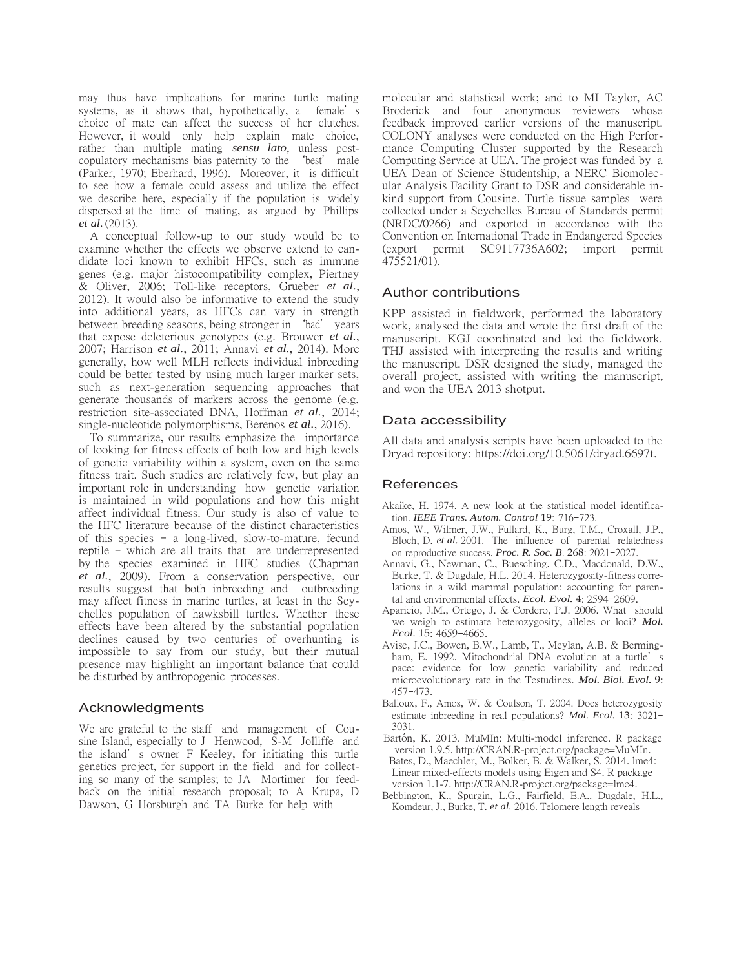may thus have implications for marine turtle mating systems, as it shows that, hypothetically, a female's choice of mate can affect the success of her clutches. However, it would only help explain mate choice, rather than multiple mating *sensu lato*, unless postcopulatory mechanisms bias paternity to the 'best' male (Parker, 1970; Eberhard, 1996). Moreover, it is difficult to see how a female could assess and utilize the effect we describe here, especially if the population is widely dispersed at the time of mating, as argued by Phillips *et al.*(2013).

A conceptual follow-up to our study would be to examine whether the effects we observe extend to candidate loci known to exhibit HFCs, such as immune genes (e.g. major histocompatibility complex, Piertney & Oliver, 2006; Toll-like receptors, Grueber *et al.*, 2012). It would also be informative to extend the study into additional years, as HFCs can vary in strength between breeding seasons, being stronger in 'bad' years that expose deleterious genotypes (e.g. Brouwer *et al.*, 2007; Harrison *et al.*, 2011; Annavi *et al.*, 2014). More generally, how well MLH reflects individual inbreeding could be better tested by using much larger marker sets, such as next-generation sequencing approaches that generate thousands of markers across the genome (e.g. restriction site-associated DNA, Hoffman *et al.*, 2014; single-nucleotide polymorphisms, Berenos *et al.*, 2016).

To summarize, our results emphasize the importance of looking for fitness effects of both low and high levels of genetic variability within a system, even on the same fitness trait. Such studies are relatively few, but play an important role in understanding how genetic variation is maintained in wild populations and how this might affect individual fitness. Our study is also of value to the HFC literature because of the distinct characteristics of this species – a long-lived, slow-to-mature, fecund reptile – which are all traits that are underrepresented by the species examined in HFC studies (Chapman *et al.*, 2009). From a conservation perspective, our results suggest that both inbreeding and outbreeding may affect fitness in marine turtles, at least in the Seychelles population of hawksbill turtles. Whether these effects have been altered by the substantial population declines caused by two centuries of overhunting is impossible to say from our study, but their mutual presence may highlight an important balance that could be disturbed by anthropogenic processes.

# Acknowledgments

We are grateful to the staff and management of Cousine Island, especially to J Henwood, S-M Jolliffe and the island's owner F Keeley, for initiating this turtle genetics project, for support in the field and for collecting so many of the samples; to JA Mortimer for feedback on the initial research proposal; to A Krupa, D Dawson, G Horsburgh and TA Burke for help with

molecular and statistical work; and to MI Taylor, AC Broderick and four anonymous reviewers whose feedback improved earlier versions of the manuscript. COLONY analyses were conducted on the High Performance Computing Cluster supported by the Research Computing Service at UEA. The project was funded by a UEA Dean of Science Studentship, a NERC Biomolecular Analysis Facility Grant to DSR and considerable inkind support from Cousine. Turtle tissue samples were collected under a Seychelles Bureau of Standards permit (NRDC/0266) and exported in accordance with the Convention on International Trade in Endangered Species (export permit SC9117736A602; import permit 475521/01).

# Author contributions

KPP assisted in fieldwork, performed the laboratory work, analysed the data and wrote the first draft of the manuscript. KGJ coordinated and led the fieldwork. THJ assisted with interpreting the results and writing the manuscript. DSR designed the study, managed the overall project, assisted with writing the manuscript, and won the UEA 2013 shotput.

# Data accessibility

All data and analysis scripts have been uploaded to the Dryad repository: [https://doi.org/10.5061/dryad.6697t.](https://doi.org/10.5061/dryad.6697t)

## References

- Akaike, H. 1974. A new look at the statistical model identification. *IEEE Trans. Autom. Control* 19: 716–723.
- Amos, W., Wilmer, J.W., Fullard, K., Burg, T.M., Croxall, J.P., Bloch, D. *et al.* 2001. The influence of parental relatedness on reproductive success. *Proc. R. Soc. B*. 268: 2021–2027.
- Annavi, G., Newman, C., Buesching, C.D., Macdonald, D.W., Burke, T. & Dugdale, H.L. 2014. Heterozygosity-fitness correlations in a wild mammal population: accounting for parental and environmental effects. *Ecol. Evol.* 4: 2594–2609.
- Aparicio, J.M., Ortego, J. & Cordero, P.J. 2006. What should we weigh to estimate heterozygosity, alleles or loci? *Mol. Ecol.* 15: 4659–4665.
- Avise, J.C., Bowen, B.W., Lamb, T., Meylan, A.B. & Bermingham, E. 1992. Mitochondrial DNA evolution at a turtle's pace: evidence for low genetic variability and reduced microevolutionary rate in the Testudines. *Mol. Biol. Evol.* 9: 457–473.
- Balloux, F., Amos, W. & Coulson, T. 2004. Does heterozygosity estimate inbreeding in real populations? *Mol. Ecol.* 13: 3021– 3031.
- Barton, K. 2013. MuMIn: Multi-model inference. R package version 1.9.5[. http://CRAN.R-project.org/package=MuMIn.](http://cran.r-project.org/package%3DMuMIn) Bates, D., Maechler, M., Bolker, B. & Walker, S. 2014. lme4: Linear mixed-effects models using Eigen and S4. R package
- version 1.1-7. [http://CRAN.R-project.org/package=lme4.](http://cran.r-project.org/package%3Dlme4) Bebbington, K., Spurgin, L.G., Fairfield, E.A., Dugdale, H.L., Komdeur, J., Burke, T. *et al.* 2016. Telomere length reveals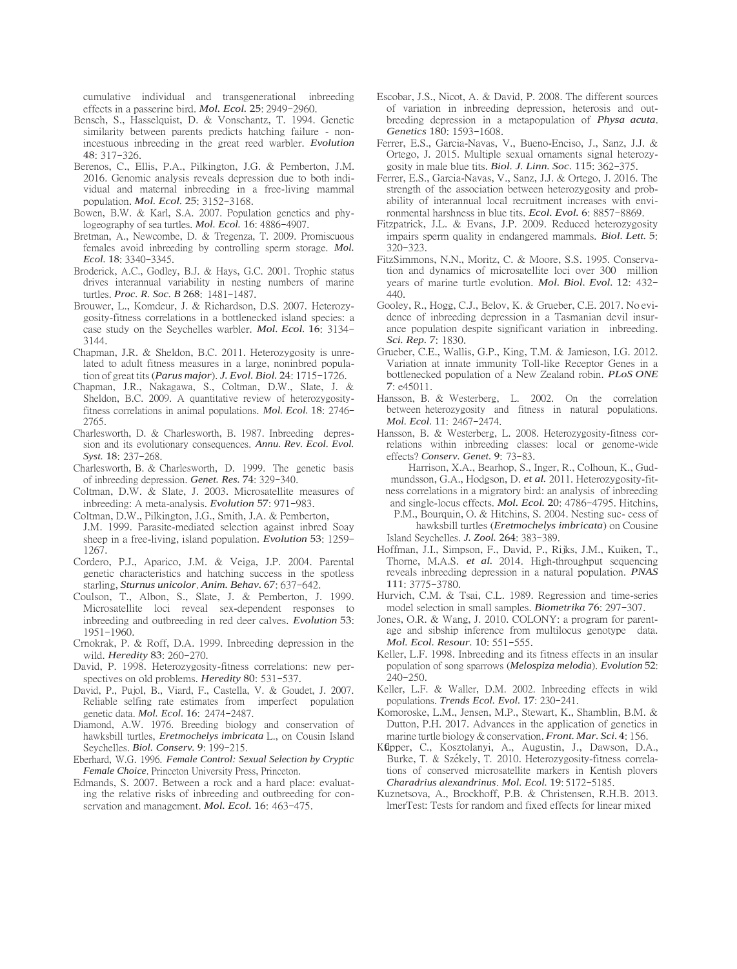cumulative individual and transgenerational inbreeding effects in a passerine bird. *Mol. Ecol.* 25: 2949–2960.

- Bensch, S., Hasselquist, D. & Vonschantz, T. 1994. Genetic similarity between parents predicts hatching failure - nonincestuous inbreeding in the great reed warbler. *Evolution* 48: 317–326.
- Berenos, C., Ellis, P.A., Pilkington, J.G. & Pemberton, J.M. 2016. Genomic analysis reveals depression due to both individual and maternal inbreeding in a free-living mammal population. *Mol. Ecol.* 25: 3152–3168.
- Bowen, B.W. & Karl, S.A. 2007. Population genetics and phylogeography of sea turtles. *Mol. Ecol.* 16: 4886–4907.
- Bretman, A., Newcombe, D. & Tregenza, T. 2009. Promiscuous females avoid inbreeding by controlling sperm storage. *Mol. Ecol.* 18: 3340–3345.
- Broderick, A.C., Godley, B.J. & Hays, G.C. 2001. Trophic status drives interannual variability in nesting numbers of marine turtles. *Proc. R. Soc. B* 268: 1481–1487.
- Brouwer, L., Komdeur, J. & Richardson, D.S. 2007. Heterozygosity-fitness correlations in a bottlenecked island species: a case study on the Seychelles warbler. *Mol. Ecol.* 16: 3134– 3144.
- Chapman, J.R. & Sheldon, B.C. 2011. Heterozygosity is unrelated to adult fitness measures in a large, noninbred population of great tits(*Parus major*). *J. Evol. Biol.* 24: 1715–1726.
- Chapman, J.R., Nakagawa, S., Coltman, D.W., Slate, J. & Sheldon, B.C. 2009. A quantitative review of heterozygosityfitness correlations in animal populations. *Mol. Ecol.* 18: 2746– 2765.
- Charlesworth, D. & Charlesworth, B. 1987. Inbreeding depression and its evolutionary consequences. *Annu. Rev. Ecol. Evol. Syst.* 18: 237–268.
- Charlesworth, B. & Charlesworth, D. 1999. The genetic basis of inbreeding depression. *Genet. Res.* 74: 329–340.
- Coltman, D.W. & Slate, J. 2003. Microsatellite measures of inbreeding: A meta-analysis. *Evolution* 57: 971–983.
- Coltman, D.W., Pilkington, J.G., Smith, J.A. & Pemberton, J.M. 1999. Parasite-mediated selection against inbred Soay sheep in a free-living, island population. *Evolution* 53: 1259– 1267.
- Cordero, P.J., Aparico, J.M. & Veiga, J.P. 2004. Parental genetic characteristics and hatching success in the spotless starling, *Sturnus unicolor*. *Anim. Behav.* 67: 637–642.
- Coulson, T., Albon, S., Slate, J. & Pemberton, J. 1999. Microsatellite loci reveal sex-dependent responses to inbreeding and outbreeding in red deer calves. *Evolution* 53: 1951–1960.
- Crnokrak, P. & Roff, D.A. 1999. Inbreeding depression in the wild. *Heredity* 83: 260–270.
- David, P. 1998. Heterozygosity-fitness correlations: new perspectives on old problems. *Heredity* 80: 531–537.
- David, P., Pujol, B., Viard, F., Castella, V. & Goudet, J. 2007. Reliable selfing rate estimates from imperfect population genetic data. *Mol. Ecol.* 16: 2474–2487.
- Diamond, A.W. 1976. Breeding biology and conservation of hawksbill turtles, *Eretmochelys imbricata* L., on Cousin Island Seychelles. *Biol. Conserv.* 9: 199–215.
- Eberhard, W.G. 1996. *Female Control: Sexual Selection by Cryptic Female Choice*. Princeton University Press, Princeton.
- Edmands, S. 2007. Between a rock and a hard place: evaluating the relative risks of inbreeding and outbreeding for conservation and management. *Mol. Ecol.* 16: 463–475.
- Escobar, J.S., Nicot, A. & David, P. 2008. The different sources of variation in inbreeding depression, heterosis and outbreeding depression in a metapopulation of *Physa acuta*. *Genetics* 180: 1593–1608.
- Ferrer, E.S., Garcia-Navas, V., Bueno-Enciso, J., Sanz, J.J. & Ortego, J. 2015. Multiple sexual ornaments signal heterozygosity in male blue tits. *Biol. J. Linn. Soc.* 115: 362–375.
- Ferrer, E.S., Garcia-Navas, V., Sanz, J.J. & Ortego, J. 2016. The strength of the association between heterozygosity and probability of interannual local recruitment increases with environmental harshness in blue tits. *Ecol. Evol.* 6: 8857–8869.
- Fitzpatrick, J.L. & Evans, J.P. 2009. Reduced heterozygosity impairs sperm quality in endangered mammals. *Biol. Lett.* 5: 320–323.
- FitzSimmons, N.N., Moritz, C. & Moore, S.S. 1995. Conservation and dynamics of microsatellite loci over 300 million years of marine turtle evolution. *Mol. Biol. Evol.* 12: 432– 440.
- Gooley, R., Hogg, C.J., Belov, K. & Grueber, C.E. 2017. No evidence of inbreeding depression in a Tasmanian devil insurance population despite significant variation in inbreeding. *Sci. Rep.* 7: 1830.
- Grueber, C.E., Wallis, G.P., King, T.M. & Jamieson, I.G. 2012. Variation at innate immunity Toll-like Receptor Genes in a bottlenecked population of a New Zealand robin. *PLoS ONE*  7: e45011.
- Hansson, B. & Westerberg, L. 2002. On the correlation between heterozygosity and fitness in natural populations. *Mol. Ecol.* 11: 2467–2474.
- Hansson, B. & Westerberg, L. 2008. Heterozygosity-fitness correlations within inbreeding classes: local or genome-wide effects? *Conserv. Genet.* 9: 73–83.
	- Harrison, X.A., Bearhop, S., Inger, R., Colhoun, K., Gudmundsson, G.A., Hodgson, D. *et al.* 2011. Heterozygosity-fit-
	- ness correlations in a migratory bird: an analysis of inbreeding and single-locus effects. *Mol. Ecol.* 20: 4786–4795. Hitchins, P.M., Bourquin, O. & Hitchins, S. 2004. Nesting suc- cess of hawksbill turtles (*Eretmochelys imbricata*) on Cousine Island Seychelles. *J. Zool.* 264: 383–389.
- Hoffman, J.I., Simpson, F., David, P., Rijks, J.M., Kuiken, T., Thorne, M.A.S. *et al.* 2014. High-throughput sequencing
- reveals inbreeding depression in a natural population. *PNAS*  111: 3775–3780.
- Hurvich, C.M. & Tsai, C.L. 1989. Regression and time-series model selection in small samples. *Biometrika* 76: 297–307.
- Jones, O.R. & Wang, J. 2010. COLONY: a program for parentage and sibship inference from multilocus genotype data. *Mol. Ecol. Resour.* 10: 551–555.
- Keller, L.F. 1998. Inbreeding and its fitness effects in an insular population of song sparrows (*Melospiza melodia*). *Evolution* 52: 240–250.
- Keller, L.F. & Waller, D.M. 2002. Inbreeding effects in wild populations. *Trends Ecol. Evol.* 17: 230–241.
- Komoroske, L.M., Jensen, M.P., Stewart, K., Shamblin, B.M. & Dutton, P.H. 2017. Advances in the application of genetics in marine turtle biology & conservation.*Front. Mar. Sci.* 4: 156.
- Ktipper, C., Kosztolanyi, A., Augustin, J., Dawson, D.A., Burke, T. & Székely, T. 2010. Heterozygosity-fitness correlations of conserved microsatellite markers in Kentish plovers *Charadrius alexandrinus*. *Mol. Ecol.* 19: 5172–5185.
- Kuznetsova, A., Brockhoff, P.B. & Christensen, R.H.B. 2013. lmerTest: Tests for random and fixed effects for linear mixed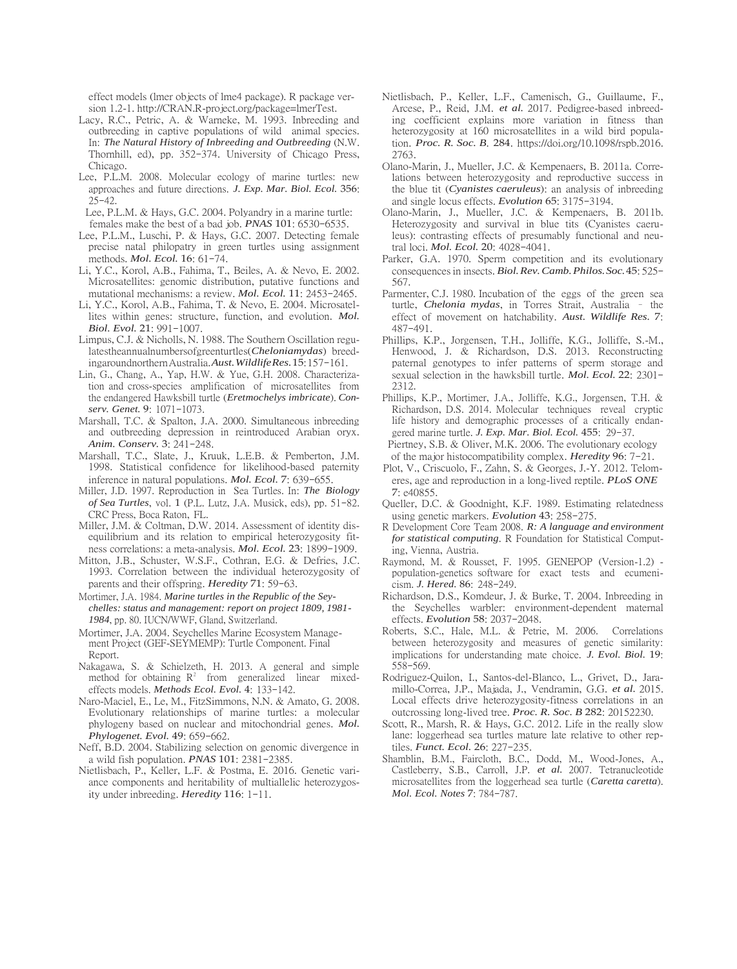effect models (lmer objects of lme4 package). R package version 1.2-1. [http://CRAN.R-project.org/package=lmerTest.](http://cran.r-project.org/package%3DlmerTest)

- Lacy, R.C., Petric, A. & Warneke, M. 1993. Inbreeding and outbreeding in captive populations of wild animal species. In: *The Natural History of Inbreeding and Outbreeding* (N.W. Thornhill, ed), pp. 352–374. University of Chicago Press, Chicago.
- Lee, P.L.M. 2008. Molecular ecology of marine turtles: new approaches and future directions. *J. Exp. Mar. Biol. Ecol.* 356:  $25 - 42.$

Lee, P.L.M. & Hays, G.C. 2004. Polyandry in a marine turtle: females make the best of a bad job. *PNAS* 101: 6530–6535.

- Lee, P.L.M., Luschi, P. & Hays, G.C. 2007. Detecting female precise natal philopatry in green turtles using assignment methods. *Mol. Ecol.* 16: 61–74.
- Li, Y.C., Korol, A.B., Fahima, T., Beiles, A. & Nevo, E. 2002. Microsatellites: genomic distribution, putative functions and mutational mechanisms: a review. *Mol. Ecol.* 11: 2453–2465.
- Li, Y.C., Korol, A.B., Fahima, T. & Nevo, E. 2004. Microsatellites within genes: structure, function, and evolution. *Mol. Biol. Evol.* 21: 991–1007.
- Limpus, C.J. & Nicholls, N. 1988. The Southern Oscillation regulatestheannualnumbersofgreenturtles(*Cheloniamydas*) breedingaroundnorthernAustralia.*Aust.WildlifeRes.*15:157–161.
- Lin, G., Chang, A., Yap, H.W. & Yue, G.H. 2008. Characterization and cross-species amplification of microsatellites from the endangered Hawksbill turtle (*Eretmochelys imbricate*). *Conserv. Genet.* 9: 1071–1073.
- Marshall, T.C. & Spalton, J.A. 2000. Simultaneous inbreeding and outbreeding depression in reintroduced Arabian oryx. *Anim. Conserv.* 3: 241–248.
- Marshall, T.C., Slate, J., Kruuk, L.E.B. & Pemberton, J.M. 1998. Statistical confidence for likelihood-based paternity inference in natural populations. *Mol. Ecol.* 7: 639–655.
- Miller, J.D. 1997. Reproduction in Sea Turtles. In: *The Biology of Sea Turtles*, vol. 1 (P.L. Lutz, J.A. Musick, eds), pp. 51–82. CRC Press, Boca Raton, FL.
- Miller, J.M. & Coltman, D.W. 2014. Assessment of identity disequilibrium and its relation to empirical heterozygosity fitness correlations: a meta-analysis. *Mol. Ecol.* 23: 1899–1909.
- Mitton, J.B., Schuster, W.S.F., Cothran, E.G. & Defries, J.C. 1993. Correlation between the individual heterozygosity of parents and their offspring. *Heredity* 71: 59–63.

Mortimer, J.A. 1984. *Marine turtles in the Republic of the Seychelles: status and management: report on project 1809, 1981- 1984*, pp. 80. IUCN/WWF, Gland, Switzerland.

- Mortimer, J.A. 2004. Seychelles Marine Ecosystem Management Project (GEF-SEYMEMP): Turtle Component. Final Report.
- Nakagawa, S. & Schielzeth, H. 2013. A general and simple method for obtaining  $R^2$  from generalized linear mixedeffects models. *Methods Ecol. Evol.* 4: 133–142.
- Naro-Maciel, E., Le, M., FitzSimmons, N.N. & Amato, G. 2008. Evolutionary relationships of marine turtles: a molecular phylogeny based on nuclear and mitochondrial genes. *Mol. Phylogenet. Evol.* 49: 659–662.
- Neff, B.D. 2004. Stabilizing selection on genomic divergence in a wild fish population. *PNAS* 101: 2381–2385.
- Nietlisbach, P., Keller, L.F. & Postma, E. 2016. Genetic variance components and heritability of multiallelic heterozygosity under inbreeding. *Heredity* 116: 1–11.
- Nietlisbach, P., Keller, L.F., Camenisch, G., Guillaume, F., Arcese, P., Reid, J.M. *et al.* 2017. Pedigree-based inbreeding coefficient explains more variation in fitness than heterozygosity at 160 microsatellites in a wild bird population. *Proc. R. Soc. B*. 284. [https://doi.org/10.1098/rspb.2016.](https://doi.org/10.1098/rspb.2016.2763) [2763.](https://doi.org/10.1098/rspb.2016.2763)
- Olano-Marin, J., Mueller, J.C. & Kempenaers, B. 2011a. Correlations between heterozygosity and reproductive success in the blue tit (*Cyanistes caeruleus*): an analysis of inbreeding and single locus effects. *Evolution* 65: 3175–3194.
- Olano-Marin, J., Mueller, J.C. & Kempenaers, B. 2011b. Heterozygosity and survival in blue tits (Cyanistes caeruleus): contrasting effects of presumably functional and neutral loci. *Mol. Ecol.* 20: 4028–4041.
- Parker, G.A. 1970. Sperm competition and its evolutionary consequences in insects. *Biol.Rev.Camb.Philos.Soc.*45: 525– 567.
- Parmenter, C.J. 1980. Incubation of the eggs of the green sea turtle, *Chelonia mydas*, in Torres Strait, Australia – the effect of movement on hatchability. *Aust. Wildlife Res.* 7: 487–491.
- Phillips, K.P., Jorgensen, T.H., Jolliffe, K.G., Jolliffe, S.-M., Henwood, J. & Richardson, D.S. 2013. Reconstructing paternal genotypes to infer patterns of sperm storage and sexual selection in the hawksbill turtle. *Mol. Ecol.* 22: 2301– 2312.
- Phillips, K.P., Mortimer, J.A., Jolliffe, K.G., Jorgensen, T.H. & Richardson, D.S. 2014. Molecular techniques reveal cryptic life history and demographic processes of a critically endangered marine turtle. *J. Exp. Mar. Biol. Ecol.* 455: 29–37.
- Piertney, S.B. & Oliver, M.K. 2006. The evolutionary ecology of the major histocompatibility complex. *Heredity* 96: 7–21.
- Plot, V., Criscuolo, F., Zahn, S. & Georges, J.-Y. 2012. Telomeres, age and reproduction in a long-lived reptile. *PLoS ONE* 7: e40855.
- Queller, D.C. & Goodnight, K.F. 1989. Estimating relatedness using genetic markers. *Evolution* 43: 258–275.
- R Development Core Team 2008. *R: A language and environment for statistical computing*. R Foundation for Statistical Computing, Vienna, Austria.
- Raymond, M. & Rousset, F. 1995. GENEPOP (Version-1.2) population-genetics software for exact tests and ecumenicism. *J. Hered.* 86: 248–249.
- Richardson, D.S., Komdeur, J. & Burke, T. 2004. Inbreeding in the Seychelles warbler: environment-dependent maternal effects. *Evolution* 58: 2037–2048.
- Roberts, S.C., Hale, M.L. & Petrie, M. 2006. Correlations between heterozygosity and measures of genetic similarity: implications for understanding mate choice. *J. Evol. Biol.* 19: 558–569.
- Rodriguez-Quilon, I., Santos-del-Blanco, L., Grivet, D., Jaramillo-Correa, J.P., Majada, J., Vendramin, G.G. *et al.* 2015. Local effects drive heterozygosity-fitness correlations in an outcrossing long-lived tree. *Proc. R. Soc. B* 282: 20152230.
- Scott, R., Marsh, R. & Hays, G.C. 2012. Life in the really slow lane: loggerhead sea turtles mature late relative to other reptiles. *Funct. Ecol.* 26: 227–235.
- Shamblin, B.M., Faircloth, B.C., Dodd, M., Wood-Jones, A., Castleberry, S.B., Carroll, J.P. *et al.* 2007. Tetranucleotide microsatellites from the loggerhead sea turtle (*Caretta caretta*). *Mol. Ecol. Notes* 7: 784–787.